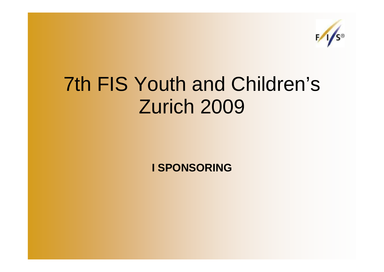

## 7th FIS Youth and Children's Zurich 2009

**I SPONSORING**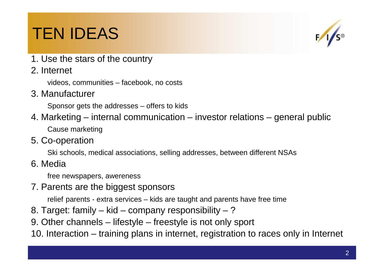## TEN IDEAS



- 1. Use the stars of the country
- 2. Internet

videos, communities – facebook, no costs

3. Manufacturer

Sponsor gets the addresses – offers to kids

- 4. Marketing internal communication investor relations general publicCause marketing
- 5. Co-operation

Ski schools, medical associations, selling addresses, between different NSAs

6. Media

free newspapers, awereness

7. Parents are the biggest sponsors

relief parents - extra services – kids are taught and parents have free time

- 8. Target: family kid company responsibility ?
- 9. Other channels lifestyle freestyle is not only sport

10. Interaction – training plans in internet, registration to races only in Internet